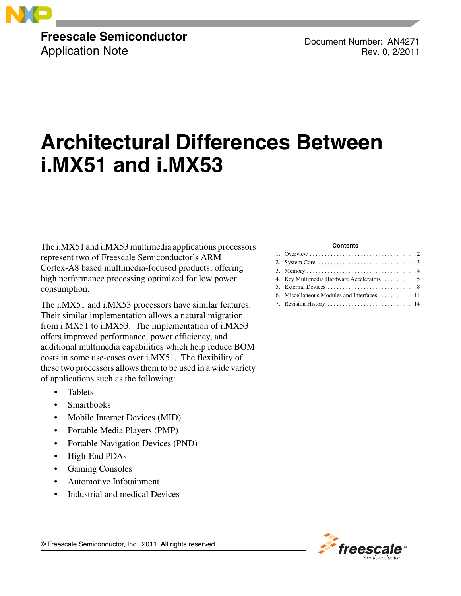

## **Freescale Semiconductor** Application Note

Document Number: AN4271 Rev. 0, 2/2011

# **Architectural Differences Between i.MX51 and i.MX53**

The i.MX51 and i.MX53 multimedia applications processors represent two of Freescale Semiconductor's ARM Cortex-A8 based multimedia-focused products; offering high performance processing optimized for low power consumption.

The i.MX51 and i.MX53 processors have similar features. Their similar implementation allows a natural migration from i.MX51 to i.MX53. The implementation of i.MX53 offers improved performance, power efficiency, and additional multimedia capabilities which help reduce BOM costs in some use-cases over i.MX51. The flexibility of these two processors allows them to be used in a wide variety of applications such as the following:

- **Tablets**
- **Smartbooks**
- Mobile Internet Devices (MID)
- Portable Media Players (PMP)
- Portable Navigation Devices (PND)
- High-End PDAs
- Gaming Consoles
- Automotive Infotainment
- Industrial and medical Devices

#### **Contents**

| 4. Key Multimedia Hardware Accelerators 5  |  |
|--------------------------------------------|--|
|                                            |  |
| 6. Miscellaneous Modules and Interfaces 11 |  |
|                                            |  |



© Freescale Semiconductor, Inc., 2011. All rights reserved.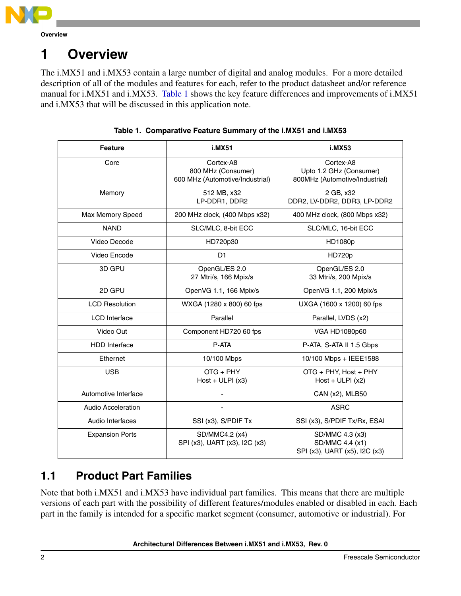

# <span id="page-1-0"></span>**1 Overview**

The i.MX51 and i.MX53 contain a large number of digital and analog modules. For a more detailed description of all of the modules and features for each, refer to the product datasheet and/or reference manual for i.MX51 and i.MX53. [Table 1](#page-1-1) shows the key feature differences and improvements of i.MX51 and i.MX53 that will be discussed in this application note.

<span id="page-1-1"></span>

| <b>Feature</b>            | i.MX51                                                             | i.MX53                                                                 |
|---------------------------|--------------------------------------------------------------------|------------------------------------------------------------------------|
| Core                      | Cortex-A8<br>800 MHz (Consumer)<br>600 MHz (Automotive/Industrial) | Cortex-A8<br>Upto 1.2 GHz (Consumer)<br>800MHz (Automotive/Industrial) |
| Memory                    | 512 MB, x32<br>LP-DDR1, DDR2                                       | 2 GB, x32<br>DDR2, LV-DDR2, DDR3, LP-DDR2                              |
| Max Memory Speed          | 200 MHz clock, (400 Mbps x32)                                      | 400 MHz clock, (800 Mbps x32)                                          |
| <b>NAND</b>               | SLC/MLC, 8-bit ECC                                                 | SLC/MLC, 16-bit ECC                                                    |
| Video Decode              | HD720p30                                                           | HD1080p                                                                |
| Video Encode              | D1                                                                 | HD720p                                                                 |
| 3D GPU                    | OpenGL/ES 2.0<br>27 Mtri/s, 166 Mpix/s                             | OpenGL/ES 2.0<br>33 Mtri/s, 200 Mpix/s                                 |
| 2D GPU                    | OpenVG 1.1, 166 Mpix/s                                             | OpenVG 1.1, 200 Mpix/s                                                 |
| <b>LCD Resolution</b>     | WXGA (1280 x 800) 60 fps                                           | UXGA (1600 x 1200) 60 fps                                              |
| <b>LCD</b> Interface      | Parallel                                                           | Parallel, LVDS (x2)                                                    |
| Video Out                 | Component HD720 60 fps                                             | VGA HD1080p60                                                          |
| <b>HDD</b> Interface      | P-ATA                                                              | P-ATA, S-ATA II 1.5 Gbps                                               |
| Ethernet                  | 10/100 Mbps                                                        | 10/100 Mbps + IEEE1588                                                 |
| <b>USB</b>                | $OTG + PHY$<br>$Host + ULPI (x3)$                                  | OTG + PHY, Host + PHY<br>$Host + ULPI (x2)$                            |
| Automotive Interface      |                                                                    | CAN (x2), MLB50                                                        |
| <b>Audio Acceleration</b> |                                                                    | <b>ASRC</b>                                                            |
| Audio Interfaces          | SSI (x3), S/PDIF Tx                                                | SSI (x3), S/PDIF Tx/Rx, ESAI                                           |
| <b>Expansion Ports</b>    | SD/MMC4.2 (x4)<br>SPI (x3), UART (x3), I2C (x3)                    | SD/MMC 4.3 (x3)<br>SD/MMC 4.4 (x1)<br>SPI (x3), UART (x5), I2C (x3)    |

### **Table 1. Comparative Feature Summary of the i.MX51 and i.MX53**

## **1.1 Product Part Families**

Note that both i.MX51 and i.MX53 have individual part families. This means that there are multiple versions of each part with the possibility of different features/modules enabled or disabled in each. Each part in the family is intended for a specific market segment (consumer, automotive or industrial). For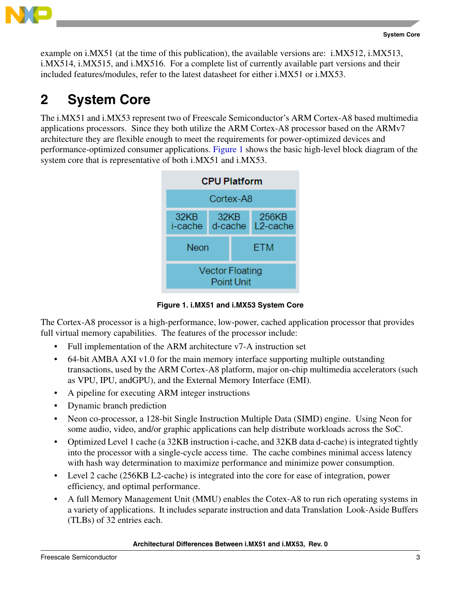

example on i.MX51 (at the time of this publication), the available versions are: i.MX512, i.MX513, i.MX514, i.MX515, and i.MX516. For a complete list of currently available part versions and their included features/modules, refer to the latest datasheet for either i.MX51 or i.MX53.

# <span id="page-2-0"></span>**2 System Core**

The i.MX51 and i.MX53 represent two of Freescale Semiconductor's ARM Cortex-A8 based multimedia applications processors. Since they both utilize the ARM Cortex-A8 processor based on the ARMv7 architecture they are flexible enough to meet the requirements for power-optimized devices and performance-optimized consumer applications. [Figure 1](#page-2-1) shows the basic high-level block diagram of the system core that is representative of both i.MX51 and i.MX53.



**Figure 1. i.MX51 and i.MX53 System Core**

<span id="page-2-1"></span>The Cortex-A8 processor is a high-performance, low-power, cached application processor that provides full virtual memory capabilities. The features of the processor include:

- Full implementation of the ARM architecture v7-A instruction set
- 64-bit AMBA AXI v1.0 for the main memory interface supporting multiple outstanding transactions, used by the ARM Cortex-A8 platform, major on-chip multimedia accelerators (such as VPU, IPU, andGPU), and the External Memory Interface (EMI).
- A pipeline for executing ARM integer instructions
- Dynamic branch prediction
- Neon co-processor, a 128-bit Single Instruction Multiple Data (SIMD) engine. Using Neon for some audio, video, and/or graphic applications can help distribute workloads across the SoC.
- Optimized Level 1 cache (a 32KB instruction i-cache, and 32KB data d-cache) is integrated tightly into the processor with a single-cycle access time. The cache combines minimal access latency with hash way determination to maximize performance and minimize power consumption.
- Level 2 cache (256KB L2-cache) is integrated into the core for ease of integration, power efficiency, and optimal performance.
- A full Memory Management Unit (MMU) enables the Cotex-A8 to run rich operating systems in a variety of applications. It includes separate instruction and data Translation Look-Aside Buffers (TLBs) of 32 entries each.

### **Architectural Differences Between i.MX51 and i.MX53, Rev. 0**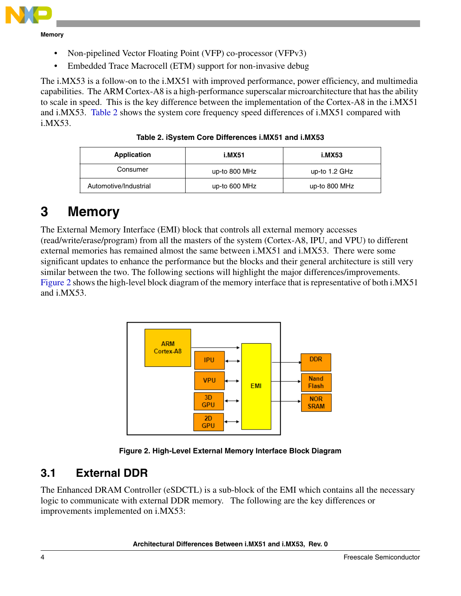

**Memory**

- Non-pipelined Vector Floating Point (VFP) co-processor (VFPv3)
- Embedded Trace Macrocell (ETM) support for non-invasive debug

The i.MX53 is a follow-on to the i.MX51 with improved performance, power efficiency, and multimedia capabilities. The ARM Cortex-A8 is a high-performance superscalar microarchitecture that has the ability to scale in speed. This is the key difference between the implementation of the Cortex-A8 in the i.MX51 and i.MX53. [Table 2](#page-3-1) shows the system core frequency speed differences of i.MX51 compared with i.MX53.

**Table 2. iSystem Core Differences i.MX51 and i.MX53** 

<span id="page-3-1"></span>

| <b>Application</b>    | i.MX51        | i.MX53        |
|-----------------------|---------------|---------------|
| Consumer              | up-to 800 MHz | up-to 1.2 GHz |
| Automotive/Industrial | up-to 600 MHz | up-to 800 MHz |

# <span id="page-3-0"></span>**3 Memory**

The External Memory Interface (EMI) block that controls all external memory accesses (read/write/erase/program) from all the masters of the system (Cortex-A8, IPU, and VPU) to different external memories has remained almost the same between i.MX51 and i.MX53. There were some significant updates to enhance the performance but the blocks and their general architecture is still very similar between the two. The following sections will highlight the major differences/improvements. [Figure 2](#page-3-2) shows the high-level block diagram of the memory interface that is representative of both i.MX51 and i.MX53.



**Figure 2. High-Level External Memory Interface Block Diagram**

### <span id="page-3-2"></span>**3.1 External DDR**

The Enhanced DRAM Controller (eSDCTL) is a sub-block of the EMI which contains all the necessary logic to communicate with external DDR memory. The following are the key differences or improvements implemented on i.MX53: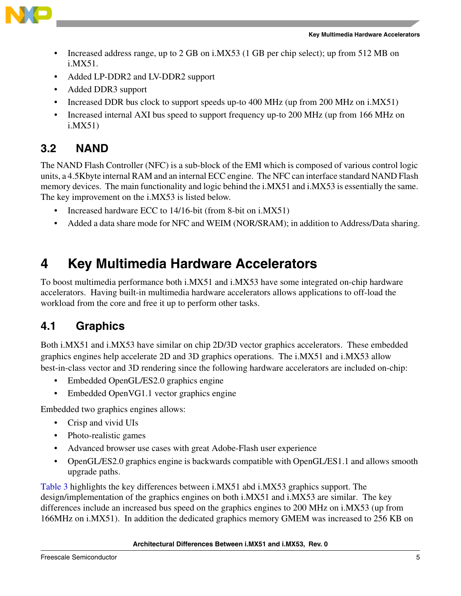- Increased address range, up to 2 GB on i.MX53 (1 GB per chip select); up from 512 MB on i.MX51.
- Added LP-DDR2 and LV-DDR2 support
- Added DDR3 support
- Increased DDR bus clock to support speeds up-to 400 MHz (up from 200 MHz on i.MX51)
- Increased internal AXI bus speed to support frequency up-to 200 MHz (up from 166 MHz on i.MX51)

### **3.2 NAND**

The NAND Flash Controller (NFC) is a sub-block of the EMI which is composed of various control logic units, a 4.5Kbyte internal RAM and an internal ECC engine. The NFC can interface standard NAND Flash memory devices. The main functionality and logic behind the i.MX51 and i.MX53 is essentially the same. The key improvement on the i.MX53 is listed below.

- Increased hardware ECC to 14/16-bit (from 8-bit on i.MX51)
- Added a data share mode for NFC and WEIM (NOR/SRAM); in addition to Address/Data sharing.

# <span id="page-4-0"></span>**4 Key Multimedia Hardware Accelerators**

To boost multimedia performance both i.MX51 and i.MX53 have some integrated on-chip hardware accelerators. Having built-in multimedia hardware accelerators allows applications to off-load the workload from the core and free it up to perform other tasks.

### **4.1 Graphics**

Both i.MX51 and i.MX53 have similar on chip 2D/3D vector graphics accelerators. These embedded graphics engines help accelerate 2D and 3D graphics operations. The i.MX51 and i.MX53 allow best-in-class vector and 3D rendering since the following hardware accelerators are included on-chip:

- Embedded OpenGL/ES2.0 graphics engine
- Embedded OpenVG1.1 vector graphics engine

Embedded two graphics engines allows:

- Crisp and vivid UIs
- Photo-realistic games
- Advanced browser use cases with great Adobe-Flash user experience
- OpenGL/ES2.0 graphics engine is backwards compatible with OpenGL/ES1.1 and allows smooth upgrade paths.

[Table 3](#page-5-0) highlights the key differences between i.MX51 abd i.MX53 graphics support. The design/implementation of the graphics engines on both i.MX51 and i.MX53 are similar. The key differences include an increased bus speed on the graphics engines to 200 MHz on i.MX53 (up from 166MHz on i.MX51). In addition the dedicated graphics memory GMEM was increased to 256 KB on

#### **Architectural Differences Between i.MX51 and i.MX53, Rev. 0**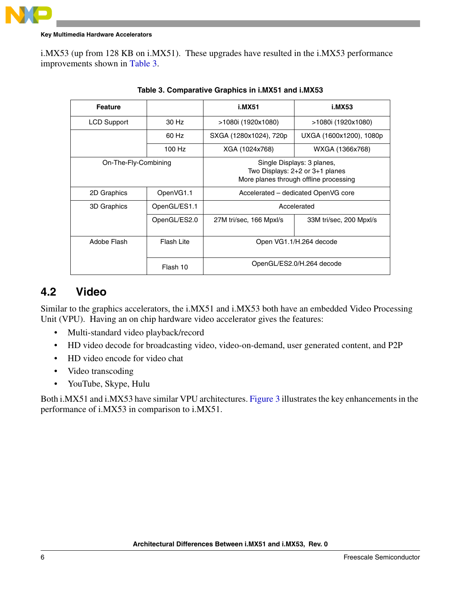

#### **Key Multimedia Hardware Accelerators**

i.MX53 (up from 128 KB on i.MX51). These upgrades have resulted in the i.MX53 performance improvements shown in [Table 3.](#page-5-0)

<span id="page-5-0"></span>

| <b>Feature</b>       |              | <b>i.MX51</b>                                                                                               | <b>i.MX53</b>                       |
|----------------------|--------------|-------------------------------------------------------------------------------------------------------------|-------------------------------------|
| <b>LCD Support</b>   | 30 Hz        | >1080i (1920x1080)                                                                                          | >1080i (1920x1080)                  |
|                      | 60 Hz        | SXGA (1280x1024), 720p                                                                                      | UXGA (1600x1200), 1080p             |
|                      | 100 Hz       | XGA (1024x768)                                                                                              | WXGA (1366x768)                     |
| On-The-Fly-Combining |              | Single Displays: 3 planes,<br>Two Displays: $2+2$ or $3+1$ planes<br>More planes through offline processing |                                     |
| 2D Graphics          | OpenVG1.1    |                                                                                                             | Accelerated – dedicated OpenVG core |
| 3D Graphics          | OpenGL/ES1.1 |                                                                                                             | Accelerated                         |
|                      | OpenGL/ES2.0 | 27M tri/sec, 166 Mpxl/s                                                                                     | 33M tri/sec, 200 Mpxl/s             |
| Adobe Flash          | Flash Lite   | Open VG1.1/H.264 decode                                                                                     |                                     |
|                      | Flash 10     |                                                                                                             | OpenGL/ES2.0/H.264 decode           |

**Table 3. Comparative Graphics in i.MX51 and i.MX53**

### **4.2 Video**

Similar to the graphics accelerators, the i.MX51 and i.MX53 both have an embedded Video Processing Unit (VPU). Having an on chip hardware video accelerator gives the features:

- Multi-standard video playback/record
- HD video decode for broadcasting video, video-on-demand, user generated content, and P2P
- HD video encode for video chat
- Video transcoding
- YouTube, Skype, Hulu

Both i.MX51 and i.MX53 have similar VPU architectures. [Figure 3](#page-6-0) illustrates the key enhancements in the performance of i.MX53 in comparison to i.MX51.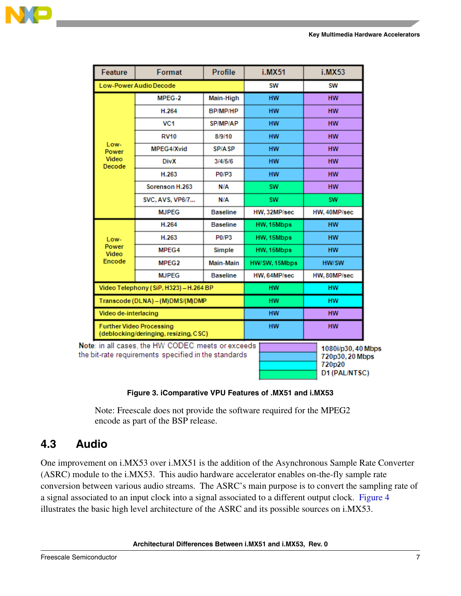| Feature                                                                  | Format                 | <b>Profile</b>  | i.MX51        | i.MX53       |
|--------------------------------------------------------------------------|------------------------|-----------------|---------------|--------------|
| <b>Low-Power Audio Decode</b>                                            |                        |                 | SW            | SW           |
|                                                                          | MPEG-2                 | Main-High       | <b>HW</b>     | <b>HW</b>    |
|                                                                          | H.264                  | BP/MP/HP        | <b>HW</b>     | <b>HW</b>    |
|                                                                          | VC <sub>1</sub>        | SP/MP/AP        | <b>HW</b>     | <b>HW</b>    |
|                                                                          | <b>RV10</b>            | 8/9/10          | <b>HW</b>     | <b>HW</b>    |
| Low-<br>Power                                                            | MPEG4/Xvid             | SP/A SP         | <b>HW</b>     | <b>HW</b>    |
| Video<br>Decode                                                          | <b>DivX</b>            | 3/4/5/6         | <b>HW</b>     | <b>HW</b>    |
|                                                                          | H.263                  | <b>P0/P3</b>    | <b>HW</b>     | <b>HW</b>    |
|                                                                          | Sorenson H.263         | N/A             | <b>SW</b>     | <b>HW</b>    |
|                                                                          | <b>SVC. AVS. VP6/7</b> | N/A             | <b>SW</b>     | <b>SW</b>    |
|                                                                          | <b>MJPEG</b>           | <b>Baseline</b> | HW, 32MP/sec  | HW, 40MP/sec |
|                                                                          | H.264                  | <b>Baseline</b> | HW, 15Mbps    | <b>HW</b>    |
| Low-                                                                     | H.263                  | <b>P0/P3</b>    | HW, 15Mbps    | <b>HW</b>    |
| Power<br>Video                                                           | MPEG4                  | Simple          | HW, 15Mbps    | <b>HW</b>    |
| Encode                                                                   | MPEG <sub>2</sub>      | Main-Main       | HW/SW, 15Mbps | <b>HW/SW</b> |
|                                                                          | <b>MJPEG</b>           | <b>Baseline</b> | HW, 64MP/sec  | HW, 80MP/sec |
| Video Telephony (SiP, H323) - H.264 BP                                   |                        |                 | <b>HW</b>     | <b>HW</b>    |
| Transcode (DLNA) - (M)DMS/(M)DMP                                         |                        |                 | <b>HW</b>     | <b>HW</b>    |
| Video de-interlacing                                                     |                        |                 | <b>HW</b>     | <b>HW</b>    |
| <b>Further Video Processing</b><br>(deblocking/deringing, resizing, CSC) |                        |                 | <b>HW</b>     | <b>HW</b>    |

Note: in all cases, the HW CODEC meets or exceeds the bit-rate requirements specified in the standards

1080i/p30, 40 Mbps 720p30, 20 Mbps 720p20 D1 (PAL/NTSC)

### **Figure 3. iComparative VPU Features of .MX51 and i.MX53**

Note: Freescale does not provide the software required for the MPEG2 encode as part of the BSP release.

### <span id="page-6-0"></span>**4.3 Audio**

One improvement on i.MX53 over i.MX51 is the addition of the Asynchronous Sample Rate Converter (ASRC) module to the i.MX53. This audio hardware accelerator enables on-the-fly sample rate conversion between various audio streams. The ASRC's main purpose is to convert the sampling rate of a signal associated to an input clock into a signal associated to a different output clock. [Figure 4](#page-7-1) illustrates the basic high level architecture of the ASRC and its possible sources on i.MX53.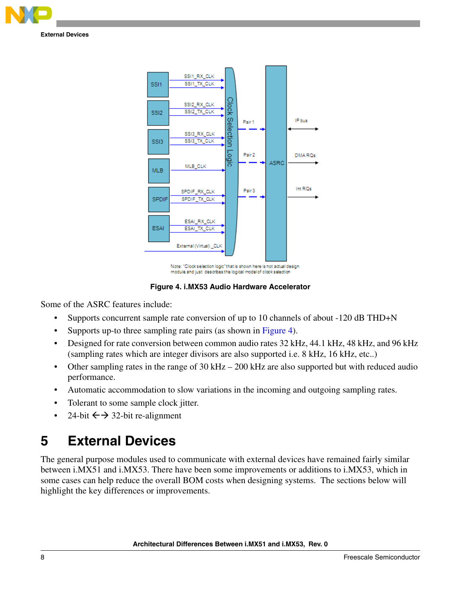

**External Devices**



Note: "Clock selection logic" that is shown here is not actual design module and just describes the logical model of clock selection

**Figure 4. i.MX53 Audio Hardware Accelerator**

<span id="page-7-1"></span>Some of the ASRC features include:

- Supports concurrent sample rate conversion of up to 10 channels of about -120 dB THD+N
- Supports up-to three sampling rate pairs (as shown in [Figure 4\)](#page-7-1).
- Designed for rate conversion between common audio rates 32 kHz, 44.1 kHz, 48 kHz, and 96 kHz (sampling rates which are integer divisors are also supported i.e. 8 kHz, 16 kHz, etc..)
- Other sampling rates in the range of 30 kHz 200 kHz are also supported but with reduced audio performance.
- Automatic accommodation to slow variations in the incoming and outgoing sampling rates.
- Tolerant to some sample clock jitter.
- 24-bit  $\leftrightarrow$  32-bit re-alignment

# <span id="page-7-0"></span>**5 External Devices**

The general purpose modules used to communicate with external devices have remained fairly similar between i.MX51 and i.MX53. There have been some improvements or additions to i.MX53, which in some cases can help reduce the overall BOM costs when designing systems. The sections below will highlight the key differences or improvements.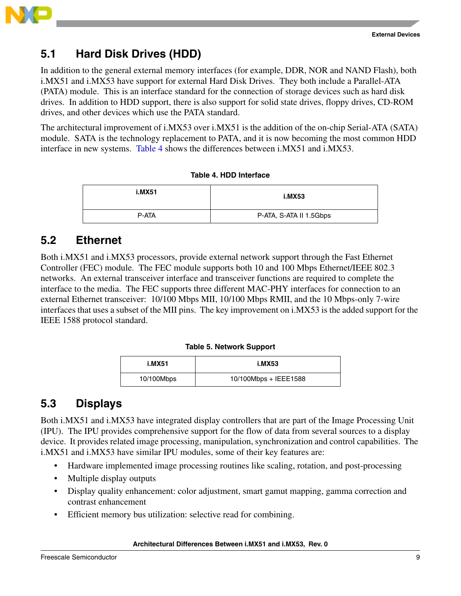

## **5.1 Hard Disk Drives (HDD)**

In addition to the general external memory interfaces (for example, DDR, NOR and NAND Flash), both i.MX51 and i.MX53 have support for external Hard Disk Drives. They both include a Parallel-ATA (PATA) module. This is an interface standard for the connection of storage devices such as hard disk drives. In addition to HDD support, there is also support for solid state drives, floppy drives, CD-ROM drives, and other devices which use the PATA standard.

The architectural improvement of i.MX53 over i.MX51 is the addition of the on-chip Serial-ATA (SATA) module. SATA is the technology replacement to PATA, and it is now becoming the most common HDD interface in new systems. [Table 4](#page-8-0) shows the differences between i.MX51 and i.MX53.

<span id="page-8-0"></span>

| i.MX51 | i.MX53                  |
|--------|-------------------------|
| P-ATA  | P-ATA, S-ATA II 1.5Gbps |

### **5.2 Ethernet**

Both i.MX51 and i.MX53 processors, provide external network support through the Fast Ethernet Controller (FEC) module. The FEC module supports both 10 and 100 Mbps Ethernet/IEEE 802.3 networks. An external transceiver interface and transceiver functions are required to complete the interface to the media. The FEC supports three different MAC-PHY interfaces for connection to an external Ethernet transceiver: 10/100 Mbps MII, 10/100 Mbps RMII, and the 10 Mbps-only 7-wire interfaces that uses a subset of the MII pins. The key improvement on i.MX53 is the added support for the IEEE 1588 protocol standard.

### **Table 5. Network Support**

| i.MX51     | i.MX53                |
|------------|-----------------------|
| 10/100Mbps | 10/100Mbps + IEEE1588 |

### **5.3 Displays**

Both i.MX51 and i.MX53 have integrated display controllers that are part of the Image Processing Unit (IPU). The IPU provides comprehensive support for the flow of data from several sources to a display device. It provides related image processing, manipulation, synchronization and control capabilities. The i.MX51 and i.MX53 have similar IPU modules, some of their key features are:

- Hardware implemented image processing routines like scaling, rotation, and post-processing
- Multiple display outputs
- Display quality enhancement: color adjustment, smart gamut mapping, gamma correction and contrast enhancement
- Efficient memory bus utilization: selective read for combining.

### **Architectural Differences Between i.MX51 and i.MX53, Rev. 0**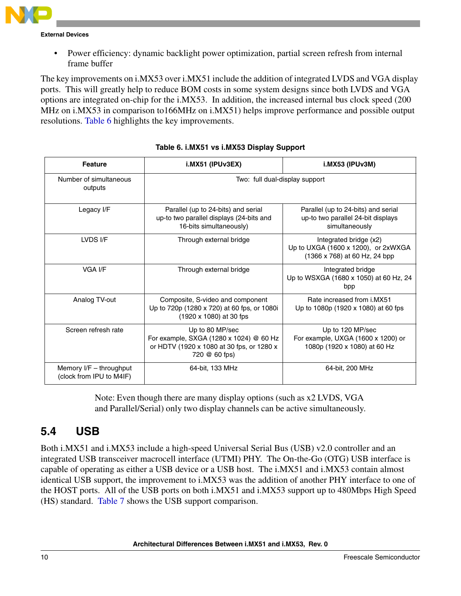

**External Devices**

• Power efficiency: dynamic backlight power optimization, partial screen refresh from internal frame buffer

The key improvements on i.MX53 over i.MX51 include the addition of integrated LVDS and VGA display ports. This will greatly help to reduce BOM costs in some system designs since both LVDS and VGA options are integrated on-chip for the i.MX53. In addition, the increased internal bus clock speed (200 MHz on i.MX53 in comparison to166MHz on i.MX51) helps improve performance and possible output resolutions. [Table 6](#page-9-0) highlights the key improvements.

<span id="page-9-0"></span>

| <b>Feature</b>                                      | i.MX51 (IPUv3EX)                                                                                                         | i.MX53 (IPUv3M)                                                                                |
|-----------------------------------------------------|--------------------------------------------------------------------------------------------------------------------------|------------------------------------------------------------------------------------------------|
| Number of simultaneous<br>outputs                   | Two: full dual-display support                                                                                           |                                                                                                |
| Legacy I/F                                          | Parallel (up to 24-bits) and serial<br>up-to two parallel displays (24-bits and<br>16-bits simultaneously)               | Parallel (up to 24-bits) and serial<br>up-to two parallel 24-bit displays<br>simultaneously    |
| LVDS I/F                                            | Through external bridge                                                                                                  | Integrated bridge (x2)<br>Up to UXGA (1600 x 1200), or 2xWXGA<br>(1366 x 768) at 60 Hz, 24 bpp |
| VGA I/F                                             | Through external bridge                                                                                                  | Integrated bridge<br>Up to WSXGA (1680 x 1050) at 60 Hz, 24<br>bpp                             |
| Analog TV-out                                       | Composite, S-video and component<br>Up to 720p (1280 x 720) at 60 fps, or 1080i<br>(1920 x 1080) at 30 fps               | Rate increased from i.MX51<br>Up to 1080p (1920 x 1080) at 60 fps                              |
| Screen refresh rate                                 | Up to 80 MP/sec<br>For example, SXGA (1280 x 1024) @ 60 Hz<br>or HDTV (1920 x 1080 at 30 fps, or 1280 x<br>720 @ 60 fps) | Up to 120 MP/sec<br>For example, UXGA (1600 x 1200) or<br>1080p (1920 x 1080) at 60 Hz         |
| Memory I/F - throughput<br>(clock from IPU to M4IF) | 64-bit. 133 MHz                                                                                                          | 64-bit, 200 MHz                                                                                |

Note: Even though there are many display options (such as x2 LVDS, VGA and Parallel/Serial) only two display channels can be active simultaneously.

## **5.4 USB**

Both i.MX51 and i.MX53 include a high-speed Universal Serial Bus (USB) v2.0 controller and an integrated USB transceiver macrocell interface (UTMI) PHY. The On-the-Go (OTG) USB interface is capable of operating as either a USB device or a USB host. The i.MX51 and i.MX53 contain almost identical USB support, the improvement to i.MX53 was the addition of another PHY interface to one of the HOST ports. All of the USB ports on both i.MX51 and i.MX53 support up to 480Mbps High Speed (HS) standard. [Table 7](#page-10-1) shows the USB support comparison.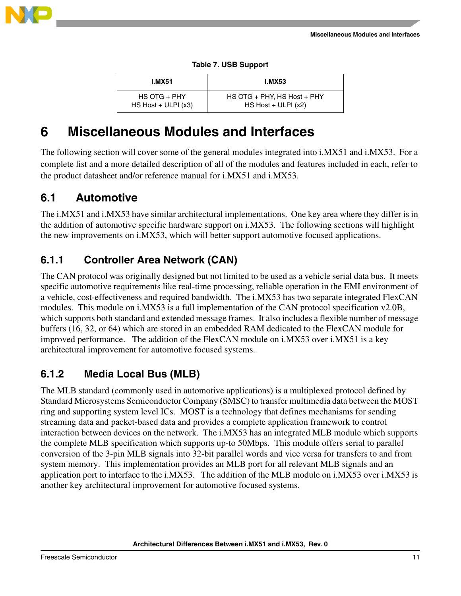

### **Table 7. USB Support**

| i.MX51                | i.MX53                        |
|-----------------------|-------------------------------|
| $HS OTG + PHY$        | $HS$ OTG + PHY, HS Host + PHY |
| $HS$ Host + ULPI (x3) | $HS$ Host + ULPI (x2)         |

# <span id="page-10-1"></span><span id="page-10-0"></span>**6 Miscellaneous Modules and Interfaces**

The following section will cover some of the general modules integrated into i.MX51 and i.MX53. For a complete list and a more detailed description of all of the modules and features included in each, refer to the product datasheet and/or reference manual for i.MX51 and i.MX53.

### **6.1 Automotive**

The i.MX51 and i.MX53 have similar architectural implementations. One key area where they differ is in the addition of automotive specific hardware support on i.MX53. The following sections will highlight the new improvements on i.MX53, which will better support automotive focused applications.

### **6.1.1 Controller Area Network (CAN)**

The CAN protocol was originally designed but not limited to be used as a vehicle serial data bus. It meets specific automotive requirements like real-time processing, reliable operation in the EMI environment of a vehicle, cost-effectiveness and required bandwidth. The i.MX53 has two separate integrated FlexCAN modules. This module on i.MX53 is a full implementation of the CAN protocol specification v2.0B, which supports both standard and extended message frames. It also includes a flexible number of message buffers (16, 32, or 64) which are stored in an embedded RAM dedicated to the FlexCAN module for improved performance. The addition of the FlexCAN module on i.MX53 over i.MX51 is a key architectural improvement for automotive focused systems.

### **6.1.2 Media Local Bus (MLB)**

The MLB standard (commonly used in automotive applications) is a multiplexed protocol defined by Standard Microsystems Semiconductor Company (SMSC) to transfer multimedia data between the MOST ring and supporting system level ICs. MOST is a technology that defines mechanisms for sending streaming data and packet-based data and provides a complete application framework to control interaction between devices on the network. The i.MX53 has an integrated MLB module which supports the complete MLB specification which supports up-to 50Mbps. This module offers serial to parallel conversion of the 3-pin MLB signals into 32-bit parallel words and vice versa for transfers to and from system memory. This implementation provides an MLB port for all relevant MLB signals and an application port to interface to the i.MX53. The addition of the MLB module on i.MX53 over i.MX53 is another key architectural improvement for automotive focused systems.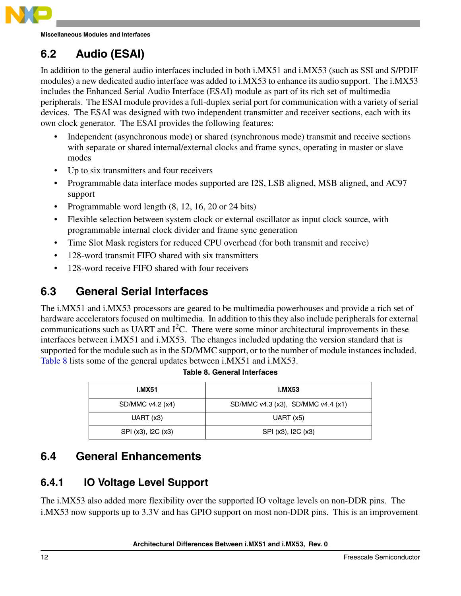

# **6.2 Audio (ESAI)**

In addition to the general audio interfaces included in both i.MX51 and i.MX53 (such as SSI and S/PDIF modules) a new dedicated audio interface was added to i.MX53 to enhance its audio support. The i.MX53 includes the Enhanced Serial Audio Interface (ESAI) module as part of its rich set of multimedia peripherals. The ESAI module provides a full-duplex serial port for communication with a variety of serial devices. The ESAI was designed with two independent transmitter and receiver sections, each with its own clock generator. The ESAI provides the following features:

- Independent (asynchronous mode) or shared (synchronous mode) transmit and receive sections with separate or shared internal/external clocks and frame syncs, operating in master or slave modes
- Up to six transmitters and four receivers
- Programmable data interface modes supported are I2S, LSB aligned, MSB aligned, and AC97 support
- Programmable word length (8, 12, 16, 20 or 24 bits)
- Flexible selection between system clock or external oscillator as input clock source, with programmable internal clock divider and frame sync generation
- Time Slot Mask registers for reduced CPU overhead (for both transmit and receive)
- 128-word transmit FIFO shared with six transmitters
- 128-word receive FIFO shared with four receivers

## **6.3 General Serial Interfaces**

The i.MX51 and i.MX53 processors are geared to be multimedia powerhouses and provide a rich set of hardware accelerators focused on multimedia. In addition to this they also include peripherals for external communications such as UART and  $I<sup>2</sup>C$ . There were some minor architectural improvements in these interfaces between i.MX51 and i.MX53. The changes included updating the version standard that is supported for the module such as in the SD/MMC support, or to the number of module instances included. [Table 8](#page-11-0) lists some of the general updates between i.MX51 and i.MX53.

<span id="page-11-0"></span>

| i.MX51             | i.MX53                             |
|--------------------|------------------------------------|
| SD/MMC v4.2 (x4)   | SD/MMC v4.3 (x3), SD/MMC v4.4 (x1) |
| $UART$ $(x3)$      | $UART$ ( $x5$ )                    |
| SPI (x3), I2C (x3) | SPI (x3), I2C (x3)                 |

### **Table 8. General Interfaces**

## **6.4 General Enhancements**

### **6.4.1 IO Voltage Level Support**

The i.MX53 also added more flexibility over the supported IO voltage levels on non-DDR pins. The i.MX53 now supports up to 3.3V and has GPIO support on most non-DDR pins. This is an improvement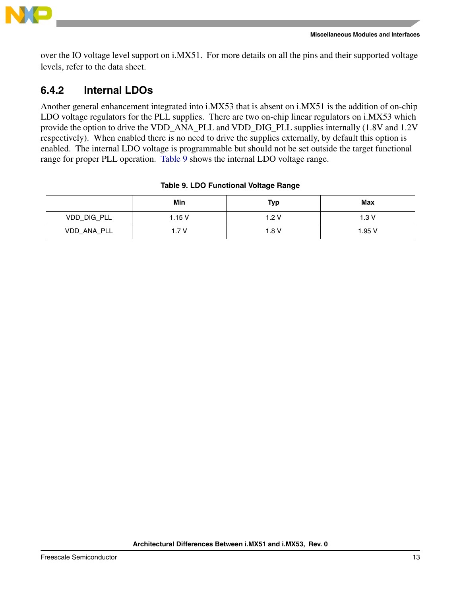

over the IO voltage level support on i.MX51. For more details on all the pins and their supported voltage levels, refer to the data sheet.

### **6.4.2 Internal LDOs**

Another general enhancement integrated into i.MX53 that is absent on i.MX51 is the addition of on-chip LDO voltage regulators for the PLL supplies. There are two on-chip linear regulators on i.MX53 which provide the option to drive the VDD\_ANA\_PLL and VDD\_DIG\_PLL supplies internally (1.8V and 1.2V respectively). When enabled there is no need to drive the supplies externally, by default this option is enabled. The internal LDO voltage is programmable but should not be set outside the target functional range for proper PLL operation. [Table 9](#page-12-0) shows the internal LDO voltage range.

<span id="page-12-0"></span>

|             | Min    | Typ  | Max   |
|-------------|--------|------|-------|
| VDD_DIG_PLL | 1.15 V | 1.2V | 1.3V  |
| VDD_ANA_PLL | 1.7 V  | 1.8V | 1.95V |

### **Table 9. LDO Functional Voltage Range**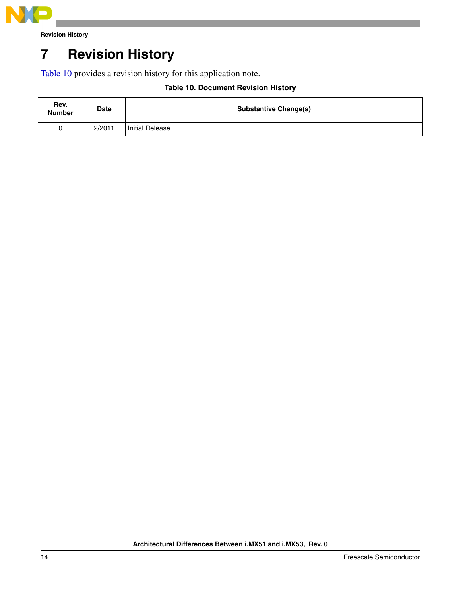

**Revision History**

# <span id="page-13-0"></span>**7 Revision History**

[Table 10](#page-13-1) provides a revision history for this application note.

### **Table 10. Document Revision History**

<span id="page-13-1"></span>

| Rev.<br><b>Number</b> | <b>Date</b> | <b>Substantive Change(s)</b> |
|-----------------------|-------------|------------------------------|
|                       | 2/2011      | Initial Release.             |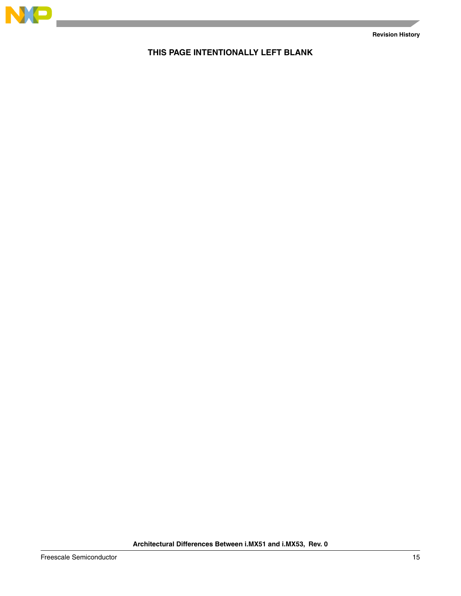

 $\overline{\phantom{a}}$ 

**Revision History**

### **THIS PAGE INTENTIONALLY LEFT BLANK**